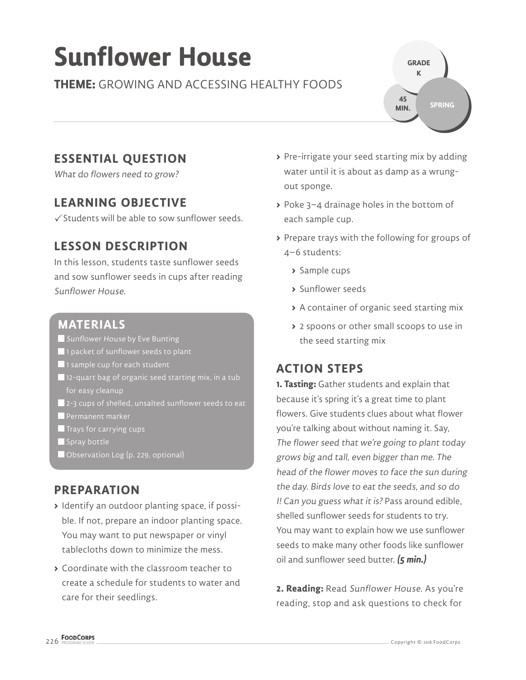# **Sunflower House**

#### **THEME:** GROWING AND ACCESSING HEALTHY FOODS

**GRADE K SPRING 45 MIN.**

# **ESSENTIAL QUESTION**

What do flowers need to grow?

#### **LEARNING OBJECTIVE**

 $\checkmark$  Students will be able to sow sunflower seeds.

# **LESSON DESCRIPTION**

In this lesson, students taste sunflower seeds and sow sunflower seeds in cups after reading Sunflower House.

#### **MATERIALS**

- **Sunflower House by Eve Bunting**
- 1 packet of sunflower seeds to plant
- 1 sample cup for each student
- $\blacksquare$  12-quart bag of organic seed starting mix, in a tub for easy cleanup
- **2-3** cups of shelled, unsalted sunflower seeds to eat
- **Permanent marker**
- $\blacksquare$  Trays for carrying cups
- $\blacksquare$  Spray bottle
- Observation Log (p. 229, optional)

#### **PREPARATION**

- **>** Identify an outdoor planting space, if possible. If not, prepare an indoor planting space. You may want to put newspaper or vinyl tablecloths down to minimize the mess.
- **>** Coordinate with the classroom teacher to create a schedule for students to water and care for their seedlings.
- **>** Pre-irrigate your seed starting mix by adding water until it is about as damp as a wrungout sponge.
- **>** Poke 3–4 drainage holes in the bottom of each sample cup.
- **>** Prepare trays with the following for groups of 4–6 students:
	- **>** Sample cups
	- **>** Sunflower seeds
	- **>** A container of organic seed starting mix
	- **>** 2 spoons or other small scoops to use in the seed starting mix

# **ACTION STEPS**

**1. Tasting:** Gather students and explain that because it's spring it's a great time to plant flowers. Give students clues about what flower you're talking about without naming it. Say, The flower seed that we're going to plant today grows big and tall, even bigger than me. The head of the flower moves to face the sun during the day. Birds love to eat the seeds, and so do I! Can you guess what it is? Pass around edible, shelled sunflower seeds for students to try. You may want to explain how we use sunflower seeds to make many other foods like sunflower oil and sunflower seed butter. **(5 min.)**

**2. Reading:** Read Sunflower House. As you're reading, stop and ask questions to check for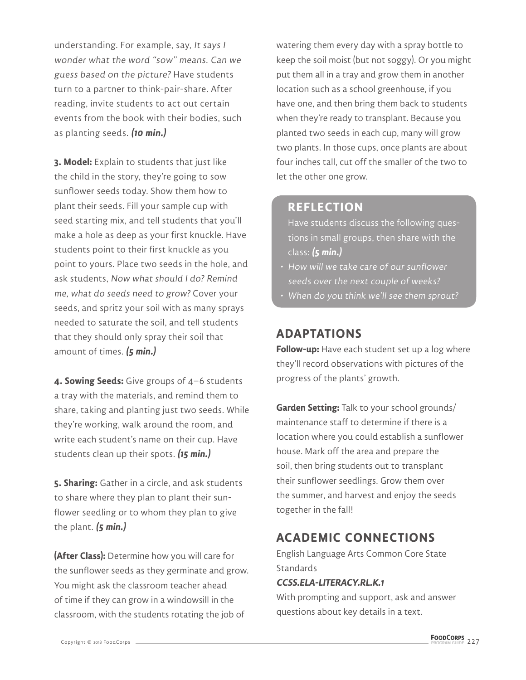understanding. For example, say, It says I wonder what the word "sow" means. Can we guess based on the picture? Have students turn to a partner to think-pair-share. After reading, invite students to act out certain events from the book with their bodies, such as planting seeds. **(10 min.)**

**3. Model:** Explain to students that just like the child in the story, they're going to sow sunflower seeds today. Show them how to plant their seeds. Fill your sample cup with seed starting mix, and tell students that you'll make a hole as deep as your first knuckle. Have students point to their first knuckle as you point to yours. Place two seeds in the hole, and ask students, Now what should I do? Remind me, what do seeds need to grow? Cover your seeds, and spritz your soil with as many sprays needed to saturate the soil, and tell students that they should only spray their soil that amount of times. **(5 min.)**

**4. Sowing Seeds:** Give groups of 4–6 students a tray with the materials, and remind them to share, taking and planting just two seeds. While they're working, walk around the room, and write each student's name on their cup. Have students clean up their spots. **(15 min.)**

**5. Sharing:** Gather in a circle, and ask students to share where they plan to plant their sunflower seedling or to whom they plan to give the plant. **(5 min.)**

**(After Class):** Determine how you will care for the sunflower seeds as they germinate and grow. You might ask the classroom teacher ahead of time if they can grow in a windowsill in the classroom, with the students rotating the job of

watering them every day with a spray bottle to keep the soil moist (but not soggy). Or you might put them all in a tray and grow them in another location such as a school greenhouse, if you have one, and then bring them back to students when they're ready to transplant. Because you planted two seeds in each cup, many will grow two plants. In those cups, once plants are about four inches tall, cut off the smaller of the two to let the other one grow.

#### **REFLECTION**

Have students discuss the following questions in small groups, then share with the class: **(5 min.)**

- How will we take care of our sunflower seeds over the next couple of weeks?
- When do you think we'll see them sprout?

#### **ADAPTATIONS**

**Follow-up:** Have each student set up a log where they'll record observations with pictures of the progress of the plants' growth.

**Garden Setting:** Talk to your school grounds/ maintenance staff to determine if there is a location where you could establish a sunflower house. Mark off the area and prepare the soil, then bring students out to transplant their sunflower seedlings. Grow them over the summer, and harvest and enjoy the seeds together in the fall!

# **ACADEMIC CONNECTIONS**

English Language Arts Common Core State **Standards** 

#### **CCSS.ELA-LITERACY.RL.K.1**

With prompting and support, ask and answer questions about key details in a text.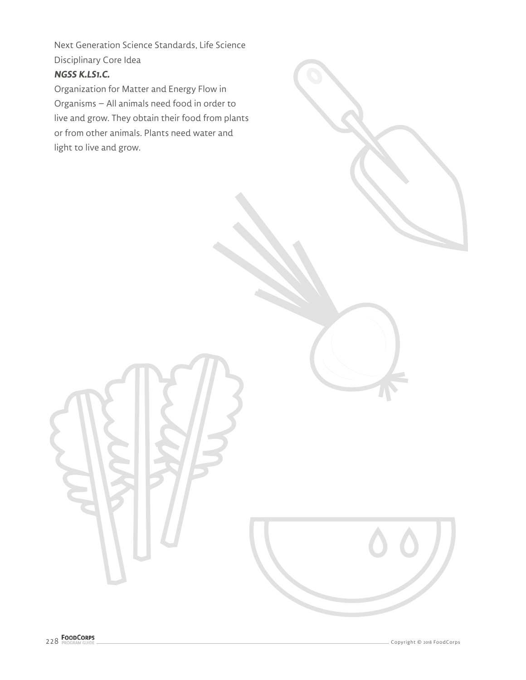Next Generation Science Standards, Life Science Disciplinary Core Idea

#### **NGSS K.LS1.C.**

Organization for Matter and Energy Flow in Organisms – All animals need food in order to live and grow. They obtain their food from plants or from other animals. Plants need water and light to live and grow.